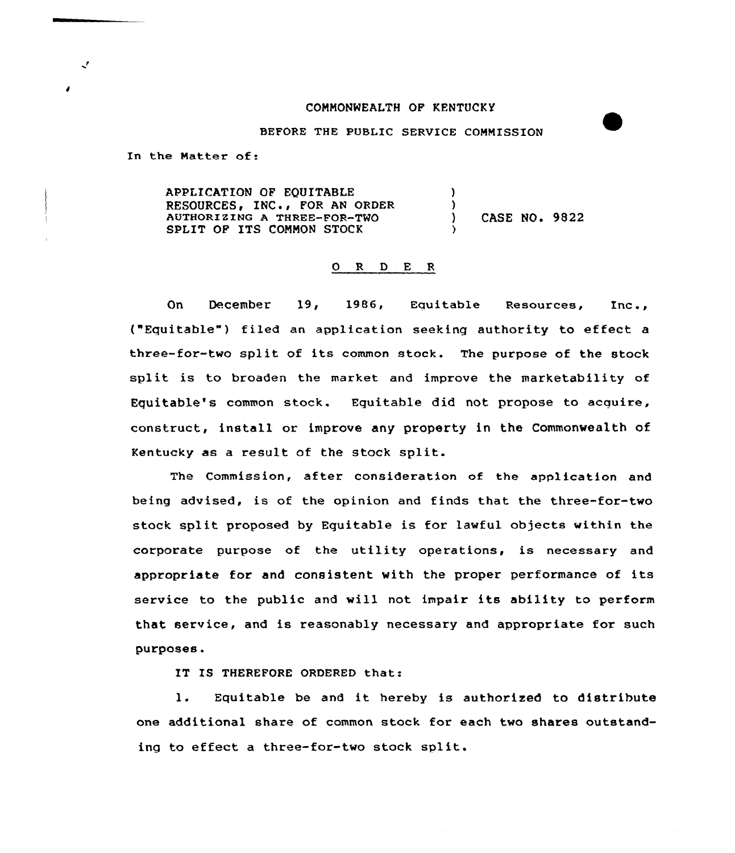## CONNONWEALTH OF KENTUCKY

## BEFORE THE POBLIC SERUICE COMMISSION

In the Natter of:

 $\mathcal{L}$ 

APPLICATION OF EQUITABLE RESOURCES, INC., FOR AN ORDER AUTHORIZING A THREE-FOR-TWO SPLIT OF ITS CONNON STOCK )  $\left\{ \right.$ ) ) CASE NO. 9822 )

## 0 R <sup>D</sup> E R

On December 19, 1986, Equitable Resources, Inc., ("Equitable") filed an application seeking authority to effect a three-for-two split of its common stock. The purpose of the stock split is to broaden the market and improve the marketability af Equitable's common stock. Equitable did not propose to acquire, constxuct, install or improve any property in the Commanwealth of Kentucky as <sup>a</sup> result of the stock split.

The Commission, after consideration of the application and being advised, is of the opinion and finds that the three-for-two stock split proposed by Equitable is for lawful objects within the corporate purpose of the utility operations, is necessary and appropriate for and consistent with the proper performance of its service to the public and will not impair its ability to perform that service, and is reasonably necessary and appropriate for such purposes.

IT IS THEREFORE ORDERED that:

1. Equitable be and it hereby is authorized to distribute one additional share of common stock for each two shares outstanding to effect <sup>a</sup> three-for-two stock split.